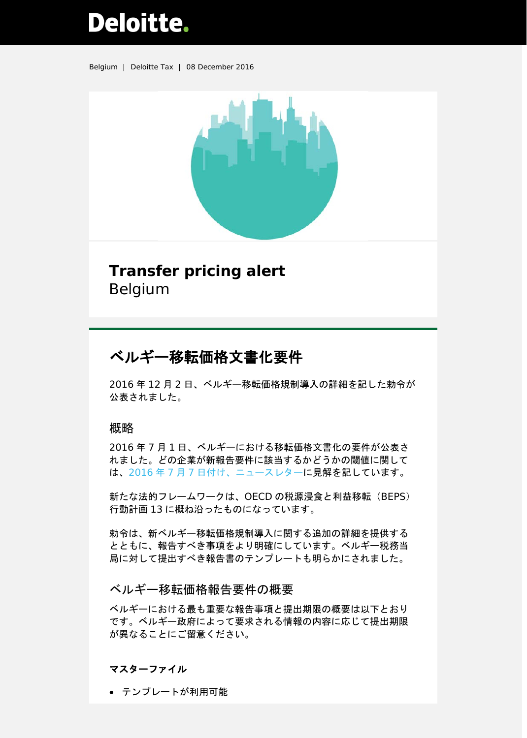# **Deloitte.**

Belgium | Deloitte Tax | 08 December 2016



# **Transfer pricing alert** Belgium

# ベルギー移転価格文書化要件

2016 年 12 月 2 日、ベルギー移転価格規制導入の詳細を記した勅令が 公表されました。

# 概略

2016 年 7 月 1 日、ベルギーにおける移転価格文書化の要件が公表さ れました。どの企業が新報告要件に該当するかどうかの閾値に関して は、2016 年 7 月 7 [日付け、ニュースレターに](https://www2.deloitte.com/content/dam/Deloitte/be/Documents/tax/TaxAlerts/CorporateTaxAlerts/TP%20alert%20-%20Mandatory%20Transfer%20Pricing%20reporting%20requirements%20in%20Belgium%20....pdf)見解を記しています。

新たな法的フレームワークは、OECD の税源浸食と利益移転 (BEPS) 行動計画 13 に概ね沿ったものになっています。

勅令は、新ベルギー移転価格規制導入に関する追加の詳細を提供する とともに、報告すべき事項をより明確にしています。ベルギー税務当 局に対して提出すべき報告書のテンプレートも明らかにされました。

# ベルギー移転価格報告要件の概要

ベルギーにおける最も重要な報告事項と提出期限の概要は以下とおり です。ベルギー政府によって要求される情報の内容に応じて提出期限 が異なることにご留意ください。

# マスターファイル

• テンプレートが利用可能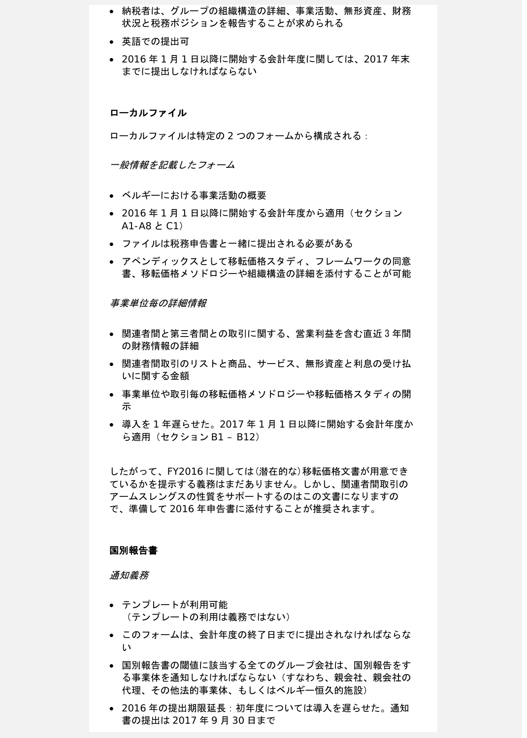- 納税者は、グループの組織構造の詳細、事業活動、無形資産、財務 状況と税務ポジションを報告することが求められる
- 英語での提出可
- 2016 年 1 月 1 日以降に開始する会計年度に関しては、2017 年末 までに提出しなければならない

#### ローカルファイル

ローカルファイルは特定の 2 つのフォームから構成される:

一般情報を記載したフォーム

- ベルギーにおける事業活動の概要
- 2016 年 1 月 1 日以降に開始する会計年度から適用(セクション A1-A8 と C1)
- ファイルは税務申告書と一緒に提出される必要がある
- アペンディックスとして移転価格スタディ、フレームワークの同意 書、移転価格メソドロジーや組織構造の詳細を添付することが可能

事業単位毎の詳細情報

- 関連者間と第三者間との取引に関する、営業利益を含む直近 3 年間 の財務情報の詳細
- 関連者間取引のリストと商品、サービス、無形資産と利息の受け払 いに関する金額
- 事業単位や取引毎の移転価格メソドロジーや移転価格スタディの開 示
- 導入を 1 年遅らせた。2017 年 1 月 1 日以降に開始する会計年度か ら適用(セクション B1 – B12)

したがって、FY2016 に関しては(潜在的な)移転価格文書が用意でき ているかを提示する義務はまだありません。しかし、関連者間取引の アームスレングスの性質をサポートするのはこの文書になりますの で、準備して 2016 年申告書に添付することが推奨されます。

#### 国別報告書

通知義務

- テンプレートが利用可能 (テンプレートの利用は義務ではない)
- このフォームは、会計年度の終了日までに提出されなければならな い
- 国別報告書の閾値に該当する全てのグループ会社は、国別報告をす る事業体を通知しなければならない(すなわち、親会社、親会社の 代理、その他法的事業体、もしくはベルギー恒久的施設)
- 2016年の提出期限延長:初年度については導入を遅らせた。通知 書の提出は 2017 年 9 月 30 日まで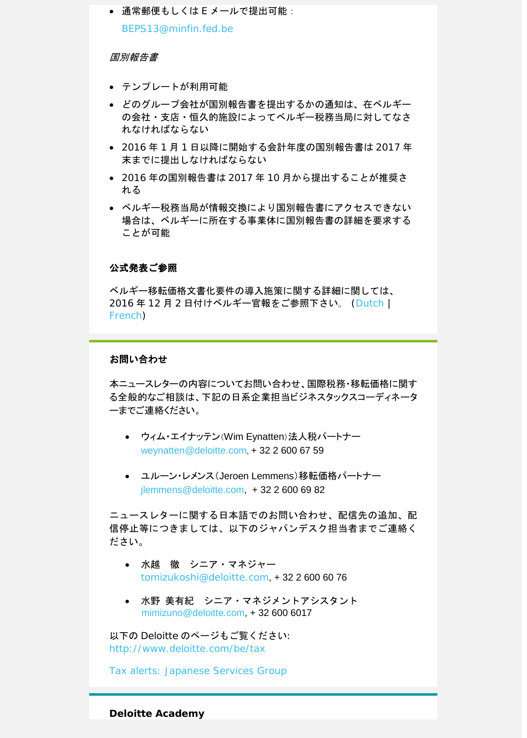● 通常郵便もしくは E メールで提出可能: [BEPS13@minfin.fed.be](mailto:BEPS13@minfin.fed.be)

### 国別報告書

- テンプレートが利用可能
- どのグループ会社が国別報告書を提出するかの通知は、在ベルギー の会社・支店・恒久的施設によってベルギー税務当局に対してなさ れなければならない
- 2016 年 1 月 1 日以降に開始する会計年度の国別報告書は 2017 年 末までに提出しなければならない
- 2016 年の国別報告書は 2017 年 10 月から提出することが推奨さ れる
- ベルギー税務当局が情報交換により国別報告書にアクセスできない 場合は、ベルギーに所在する事業体に国別報告書の詳細を要求する ことが可能

#### 公式発表ご参照

ベルギー移転価格文書化要件の導入施策に関する詳細に関しては、 2016 年 12 月 2 日付けベルギー官報をご参照下さい。 [\(Dutch](http://www.ejustice.just.fgov.be/cgi/article_body.pl?language=nl&pub_date=2016-12-02&numac=2016003417&caller=summary) | [French\)](http://www.ejustice.just.fgov.be/cgi/article_body.pl?language=fr&caller=summary&pub_date=2016-12-02&numac=2016003417)

# お問い合わせ

本ニュースレターの内容についてお問い合わせ、国際税務・移転価格に関す る全般的なご相談は、下記の日系企業担当ビジネスタックスコーディネータ ーまでご連絡ください。

- ウィム・エイナッテン(Wim Eynatten)法人税パートナー [weynatten@deloitte.com,](mailto:weynatten@deloitte.com) + 32 2 600 67 59
- ユルーン・レメンス(Jeroen Lemmens)移転価格パートナー [jlemmens@deloitte.com,](mailto:jlemmens@deloitte.com) + 32 2 600 69 82

ニュースレターに関する日本語でのお問い合わせ、配信先の追加、配 信停止等につきましては、以下のジャパンデスク担当者までご連絡く ださい。

- 水越 徹 シニア・マネジャー [tomizukoshi@deloitte.com](mailto:tomizukoshi@deloitte.com), + 32 2 600 60 76
- 水野 美有紀 シニア・マネジメントアシスタント [mimizuno@deloitte.com,](mailto:mimizuno@deloitte.com) + 32 600 6017

以下の Deloitte のページもご覧ください: <http://www.deloitte.com/be/tax>

[Tax alerts: Japanese Services Group](https://www2.deloitte.com/be/en/pages/tax/articles/Tax-alerts-Japanese-Services-Group.html)

**Deloitte Academy**